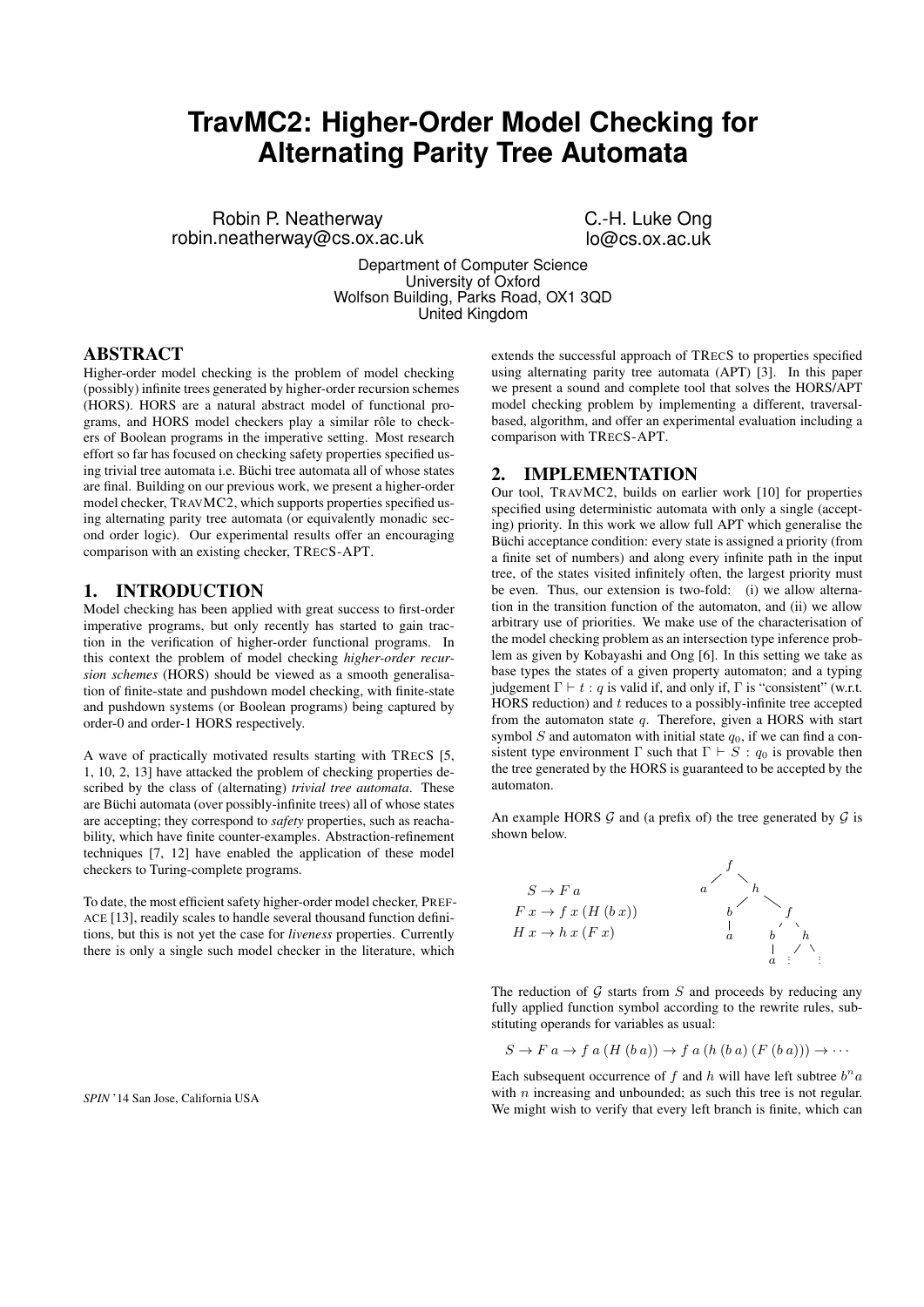# **TravMC2: Higher-Order Model Checking for Alternating Parity Tree Automata**

Robin P. Neatherway robin.neatherway@cs.ox.ac.uk C.-H. Luke Ong lo@cs.ox.ac.uk

Department of Computer Science University of Oxford Wolfson Building, Parks Road, OX1 3QD United Kingdom

## ABSTRACT

Higher-order model checking is the problem of model checking (possibly) infinite trees generated by higher-order recursion schemes (HORS). HORS are a natural abstract model of functional programs, and HORS model checkers play a similar rôle to checkers of Boolean programs in the imperative setting. Most research effort so far has focused on checking safety properties specified using trivial tree automata i.e. Büchi tree automata all of whose states are final. Building on our previous work, we present a higher-order model checker, TRAVMC2, which supports properties specified using alternating parity tree automata (or equivalently monadic second order logic). Our experimental results offer an encouraging comparison with an existing checker, TRECS-APT.

# 1. INTRODUCTION

Model checking has been applied with great success to first-order imperative programs, but only recently has started to gain traction in the verification of higher-order functional programs. In this context the problem of model checking *higher-order recursion schemes* (HORS) should be viewed as a smooth generalisation of finite-state and pushdown model checking, with finite-state and pushdown systems (or Boolean programs) being captured by order-0 and order-1 HORS respectively.

A wave of practically motivated results starting with TRECS [5, 1, 10, 2, 13] have attacked the problem of checking properties described by the class of (alternating) *trivial tree automata*. These are Büchi automata (over possibly-infinite trees) all of whose states are accepting; they correspond to *safety* properties, such as reachability, which have finite counter-examples. Abstraction-refinement techniques [7, 12] have enabled the application of these model checkers to Turing-complete programs.

To date, the most efficient safety higher-order model checker, PREF-ACE [13], readily scales to handle several thousand function definitions, but this is not yet the case for *liveness* properties. Currently there is only a single such model checker in the literature, which

*SPIN* '14 San Jose, California USA

extends the successful approach of TRECS to properties specified using alternating parity tree automata (APT) [3]. In this paper we present a sound and complete tool that solves the HORS/APT model checking problem by implementing a different, traversalbased, algorithm, and offer an experimental evaluation including a comparison with TRECS-APT.

#### 2. IMPLEMENTATION

Our tool, TRAVMC2, builds on earlier work [10] for properties specified using deterministic automata with only a single (accepting) priority. In this work we allow full APT which generalise the Büchi acceptance condition: every state is assigned a priority (from a finite set of numbers) and along every infinite path in the input tree, of the states visited infinitely often, the largest priority must be even. Thus, our extension is two-fold: (i) we allow alternation in the transition function of the automaton, and (ii) we allow arbitrary use of priorities. We make use of the characterisation of the model checking problem as an intersection type inference problem as given by Kobayashi and Ong [6]. In this setting we take as base types the states of a given property automaton; and a typing judgement  $\Gamma \vdash t : q$  is valid if, and only if,  $\Gamma$  is "consistent" (w.r.t. HORS reduction) and  $t$  reduces to a possibly-infinite tree accepted from the automaton state q. Therefore, given a HORS with start symbol S and automaton with initial state  $q_0$ , if we can find a consistent type environment  $\Gamma$  such that  $\Gamma \vdash S : q_0$  is provable then the tree generated by the HORS is guaranteed to be accepted by the automaton.

An example HORS  $\mathcal G$  and (a prefix of) the tree generated by  $\mathcal G$  is shown below.



The reduction of  $G$  starts from  $S$  and proceeds by reducing any fully applied function symbol according to the rewrite rules, substituting operands for variables as usual:

$$
S \to F a \to f a (H (b a)) \to f a (h (b a) (F (b a))) \to \cdots
$$

Each subsequent occurrence of f and h will have left subtree  $b<sup>n</sup>a$ with  $n$  increasing and unbounded; as such this tree is not regular. We might wish to verify that every left branch is finite, which can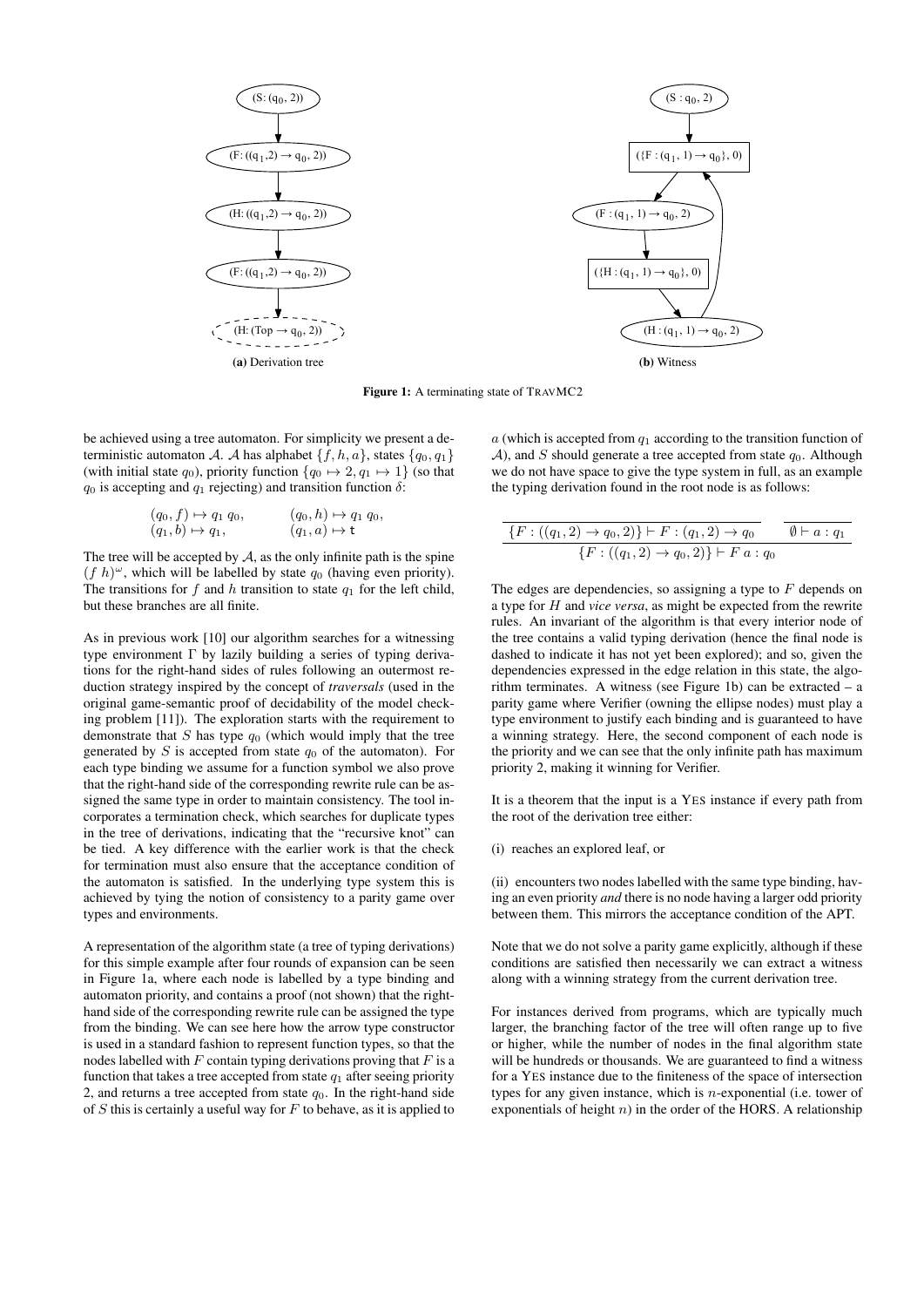

Figure 1: A terminating state of TRAVMC2

be achieved using a tree automaton. For simplicity we present a deterministic automaton A. A has alphabet  $\{f, h, a\}$ , states  $\{q_0, q_1\}$ (with initial state  $q_0$ ), priority function  $\{q_0 \mapsto 2, q_1 \mapsto 1\}$  (so that  $q_0$  is accepting and  $q_1$  rejecting) and transition function  $\delta$ :

$$
(q_0, f) \mapsto q_1 q_0, \qquad (q_0, h) \mapsto q_1 q_0, (q_1, b) \mapsto q_1, \qquad (q_1, a) \mapsto \mathbf{t}
$$

The tree will be accepted by  $A$ , as the only infinite path is the spine  $(f h)^{\omega}$ , which will be labelled by state  $q_0$  (having even priority). The transitions for  $f$  and  $h$  transition to state  $q_1$  for the left child, but these branches are all finite.

As in previous work [10] our algorithm searches for a witnessing type environment Γ by lazily building a series of typing derivations for the right-hand sides of rules following an outermost reduction strategy inspired by the concept of *traversals* (used in the original game-semantic proof of decidability of the model checking problem [11]). The exploration starts with the requirement to demonstrate that  $S$  has type  $q_0$  (which would imply that the tree generated by S is accepted from state  $q_0$  of the automaton). For each type binding we assume for a function symbol we also prove that the right-hand side of the corresponding rewrite rule can be assigned the same type in order to maintain consistency. The tool incorporates a termination check, which searches for duplicate types in the tree of derivations, indicating that the "recursive knot" can be tied. A key difference with the earlier work is that the check for termination must also ensure that the acceptance condition of the automaton is satisfied. In the underlying type system this is achieved by tying the notion of consistency to a parity game over types and environments.

A representation of the algorithm state (a tree of typing derivations) for this simple example after four rounds of expansion can be seen in Figure 1a, where each node is labelled by a type binding and automaton priority, and contains a proof (not shown) that the righthand side of the corresponding rewrite rule can be assigned the type from the binding. We can see here how the arrow type constructor is used in a standard fashion to represent function types, so that the nodes labelled with  $F$  contain typing derivations proving that  $F$  is a function that takes a tree accepted from state  $q_1$  after seeing priority 2, and returns a tree accepted from state  $q_0$ . In the right-hand side of  $S$  this is certainly a useful way for  $F$  to behave, as it is applied to  $a$  (which is accepted from  $q_1$  according to the transition function of A), and S should generate a tree accepted from state  $q_0$ . Although we do not have space to give the type system in full, as an example the typing derivation found in the root node is as follows:

$$
\frac{\{F: ((q_1, 2) \to q_0, 2)\} \vdash F: (q_1, 2) \to q_0 \qquad \emptyset \vdash a: q_1}{\{F: ((q_1, 2) \to q_0, 2)\} \vdash F \ a: q_0}
$$

The edges are dependencies, so assigning a type to  $F$  depends on a type for H and *vice versa*, as might be expected from the rewrite rules. An invariant of the algorithm is that every interior node of the tree contains a valid typing derivation (hence the final node is dashed to indicate it has not yet been explored); and so, given the dependencies expressed in the edge relation in this state, the algorithm terminates. A witness (see Figure 1b) can be extracted – a parity game where Verifier (owning the ellipse nodes) must play a type environment to justify each binding and is guaranteed to have a winning strategy. Here, the second component of each node is the priority and we can see that the only infinite path has maximum priority 2, making it winning for Verifier.

It is a theorem that the input is a YES instance if every path from the root of the derivation tree either:

(i) reaches an explored leaf, or

(ii) encounters two nodes labelled with the same type binding, having an even priority *and* there is no node having a larger odd priority between them. This mirrors the acceptance condition of the APT.

Note that we do not solve a parity game explicitly, although if these conditions are satisfied then necessarily we can extract a witness along with a winning strategy from the current derivation tree.

For instances derived from programs, which are typically much larger, the branching factor of the tree will often range up to five or higher, while the number of nodes in the final algorithm state will be hundreds or thousands. We are guaranteed to find a witness for a YES instance due to the finiteness of the space of intersection types for any given instance, which is  $n$ -exponential (i.e. tower of exponentials of height  $n$ ) in the order of the HORS. A relationship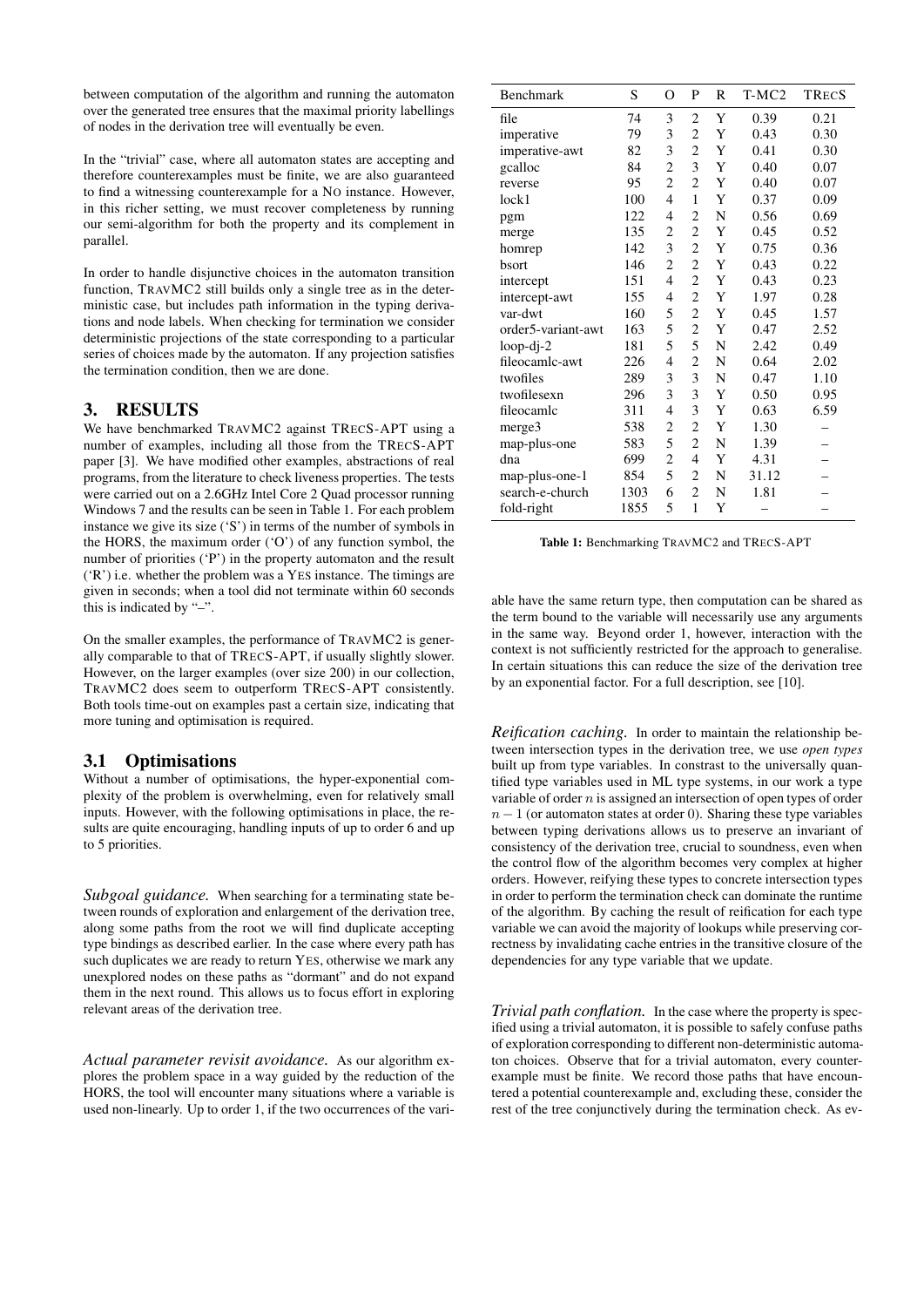between computation of the algorithm and running the automaton over the generated tree ensures that the maximal priority labellings of nodes in the derivation tree will eventually be even.

In the "trivial" case, where all automaton states are accepting and therefore counterexamples must be finite, we are also guaranteed to find a witnessing counterexample for a NO instance. However, in this richer setting, we must recover completeness by running our semi-algorithm for both the property and its complement in parallel.

In order to handle disjunctive choices in the automaton transition function, TRAVMC2 still builds only a single tree as in the deterministic case, but includes path information in the typing derivations and node labels. When checking for termination we consider deterministic projections of the state corresponding to a particular series of choices made by the automaton. If any projection satisfies the termination condition, then we are done.

# 3. RESULTS

We have benchmarked TRAVMC2 against TRECS-APT using a number of examples, including all those from the TRECS-APT paper [3]. We have modified other examples, abstractions of real programs, from the literature to check liveness properties. The tests were carried out on a 2.6GHz Intel Core 2 Quad processor running Windows 7 and the results can be seen in Table 1. For each problem instance we give its size ('S') in terms of the number of symbols in the HORS, the maximum order ('O') of any function symbol, the number of priorities ('P') in the property automaton and the result ('R') i.e. whether the problem was a YES instance. The timings are given in seconds; when a tool did not terminate within 60 seconds this is indicated by "–".

On the smaller examples, the performance of TRAVMC2 is generally comparable to that of TRECS-APT, if usually slightly slower. However, on the larger examples (over size 200) in our collection, TRAVMC2 does seem to outperform TRECS-APT consistently. Both tools time-out on examples past a certain size, indicating that more tuning and optimisation is required.

# 3.1 Optimisations

Without a number of optimisations, the hyper-exponential complexity of the problem is overwhelming, even for relatively small inputs. However, with the following optimisations in place, the results are quite encouraging, handling inputs of up to order 6 and up to 5 priorities.

*Subgoal guidance.* When searching for a terminating state between rounds of exploration and enlargement of the derivation tree, along some paths from the root we will find duplicate accepting type bindings as described earlier. In the case where every path has such duplicates we are ready to return YES, otherwise we mark any unexplored nodes on these paths as "dormant" and do not expand them in the next round. This allows us to focus effort in exploring relevant areas of the derivation tree.

*Actual parameter revisit avoidance.* As our algorithm explores the problem space in a way guided by the reduction of the HORS, the tool will encounter many situations where a variable is used non-linearly. Up to order 1, if the two occurrences of the vari-

| Benchmark          | S    | O                       | P              | R           | $T-MC2$ | <b>TRECS</b> |
|--------------------|------|-------------------------|----------------|-------------|---------|--------------|
| file               | 74   | 3                       | $\overline{c}$ | Y           | 0.39    | 0.21         |
| imperative         | 79   | 3                       | $\overline{c}$ | Y           | 0.43    | 0.30         |
| imperative-awt     | 82   | 3                       | $\overline{c}$ | Y           | 0.41    | 0.30         |
| gcalloc            | 84   | $\overline{c}$          | 3              | Y           | 0.40    | 0.07         |
| reverse            | 95   | 2                       | $\overline{c}$ | Y           | 0.40    | 0.07         |
| lock1              | 100  | $\overline{4}$          | $\mathbf{1}$   | Y           | 0.37    | 0.09         |
| pgm                | 122  | 4                       | $\overline{c}$ | N           | 0.56    | 0.69         |
| merge              | 135  | $\overline{\mathbf{c}}$ | $\overline{c}$ | Y           | 0.45    | 0.52         |
| homrep             | 142  | 3                       | $\overline{c}$ | Y           | 0.75    | 0.36         |
| bsort              | 146  | 2                       | $\overline{c}$ | Y           | 0.43    | 0.22         |
| intercept          | 151  | $\overline{4}$          | $\overline{c}$ | Y           | 0.43    | 0.23         |
| intercept-awt      | 155  | 4                       | $\overline{c}$ | Y           | 1.97    | 0.28         |
| var-dwt            | 160  | 5                       | $\overline{c}$ | Y           | 0.45    | 1.57         |
| order5-variant-awt | 163  | 5                       | $\overline{c}$ | Y           | 0.47    | 2.52         |
| $loop-dj-2$        | 181  | 5                       | 5              | N           | 2.42    | 0.49         |
| fileocamlc-awt     | 226  | 4                       | $\overline{c}$ | $\mathbf N$ | 0.64    | 2.02         |
| twofiles           | 289  | 3                       | 3              | N           | 0.47    | 1.10         |
| twofilesexn        | 296  | 3                       | 3              | Y           | 0.50    | 0.95         |
| fileocamlc         | 311  | $\overline{4}$          | 3              | Y           | 0.63    | 6.59         |
| merge3             | 538  | $\overline{\mathbf{c}}$ | $\overline{c}$ | Y           | 1.30    |              |
| map-plus-one       | 583  | 5                       | $\overline{c}$ | N           | 1.39    |              |
| dna                | 699  | $\overline{c}$          | 4              | Y           | 4.31    |              |
| map-plus-one-1     | 854  | 5                       | $\overline{c}$ | N           | 31.12   |              |
| search-e-church    | 1303 | 6                       | $\overline{c}$ | N           | 1.81    |              |
| fold-right         | 1855 | 5                       | $\mathbf{1}$   | Y           |         |              |

Table 1: Benchmarking TRAVMC2 and TRECS-APT

able have the same return type, then computation can be shared as the term bound to the variable will necessarily use any arguments in the same way. Beyond order 1, however, interaction with the context is not sufficiently restricted for the approach to generalise. In certain situations this can reduce the size of the derivation tree by an exponential factor. For a full description, see [10].

*Reification caching.* In order to maintain the relationship between intersection types in the derivation tree, we use *open types* built up from type variables. In constrast to the universally quantified type variables used in ML type systems, in our work a type variable of order  $n$  is assigned an intersection of open types of order  $n - 1$  (or automaton states at order 0). Sharing these type variables between typing derivations allows us to preserve an invariant of consistency of the derivation tree, crucial to soundness, even when the control flow of the algorithm becomes very complex at higher orders. However, reifying these types to concrete intersection types in order to perform the termination check can dominate the runtime of the algorithm. By caching the result of reification for each type variable we can avoid the majority of lookups while preserving correctness by invalidating cache entries in the transitive closure of the dependencies for any type variable that we update.

*Trivial path conflation.* In the case where the property is specified using a trivial automaton, it is possible to safely confuse paths of exploration corresponding to different non-deterministic automaton choices. Observe that for a trivial automaton, every counterexample must be finite. We record those paths that have encountered a potential counterexample and, excluding these, consider the rest of the tree conjunctively during the termination check. As ev